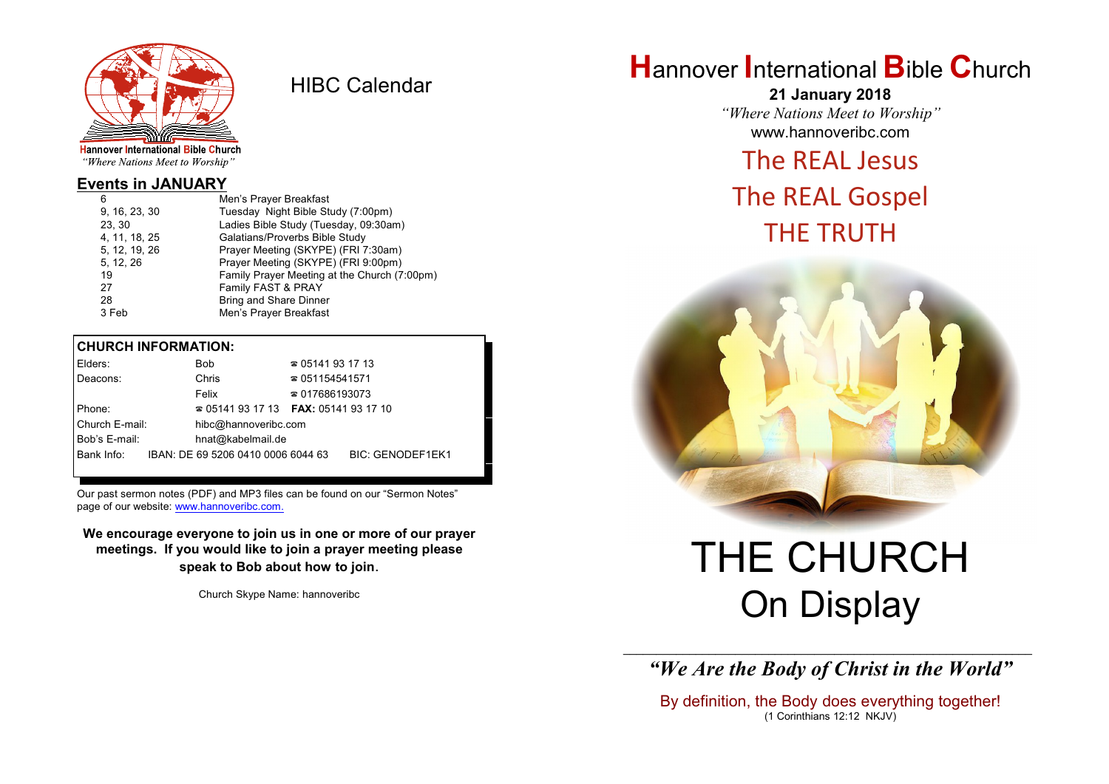

HIBC Calendar

"Where Nations Meet to Worship"

## **Events in JANUARY**

| 6             | Men's Prayer Breakfast                       |
|---------------|----------------------------------------------|
| 9, 16, 23, 30 | Tuesday Night Bible Study (7:00pm)           |
| 23, 30        | Ladies Bible Study (Tuesday, 09:30am)        |
| 4, 11, 18, 25 | Galatians/Proverbs Bible Study               |
| 5, 12, 19, 26 | Prayer Meeting (SKYPE) (FRI 7:30am)          |
| 5, 12, 26     | Prayer Meeting (SKYPE) (FRI 9:00pm)          |
| 19            | Family Prayer Meeting at the Church (7:00pm) |
| 27            | Family FAST & PRAY                           |
| 28            | <b>Bring and Share Dinner</b>                |
| 3 Feb         | Men's Prayer Breakfast                       |
|               |                                              |

## **CHURCH INFORMATION:**

| Elders:        | Bob.                                     | $\approx 05141931713$  |                         |
|----------------|------------------------------------------|------------------------|-------------------------|
| Deacons:       | Chris                                    | $\approx 051154541571$ |                         |
|                | Felix                                    | $\approx 017686193073$ |                         |
| Phone:         | $\approx 05141931713$ FAX: 0514193 17 10 |                        |                         |
| Church E-mail: | hibc@hannoveribc.com                     |                        |                         |
| Bob's E-mail:  | hnat@kabelmail.de                        |                        |                         |
| Bank Info:     | IBAN: DE 69 5206 0410 0006 6044 63       |                        | <b>BIC: GENODEF1EK1</b> |
|                |                                          |                        |                         |

Our past sermon notes (PDF) and MP3 files can be found on our "Sermon Notes" page of our website: [www.hannoveribc.com.](http://www.hannoveribc.com.)

**We encourage everyone to join us in one or more of our prayer meetings. If you would like to join a prayer meeting please speak to Bob about how to join**.

Church Skype Name: hannoveribc

# **H**annover **I**nternational **B**ible **C**hurch

**21 January 2018** *"Where Nations Meet to Worship"* www.hannoveribc.com

# The REAL Jesus

# The REAL Gospel THE TRUTH



# THE CHURCH On Display

\_\_\_\_\_\_\_\_\_\_\_\_\_\_\_\_\_\_\_\_\_\_\_\_\_\_\_\_\_\_\_\_\_\_\_\_\_\_\_\_\_\_\_\_\_\_\_\_\_\_\_\_\_\_\_\_\_\_\_\_\_\_ *"We Are the Body of Christ in the World"*

By definition, the Body does everything together! (1 Corinthians 12:12 NKJV)